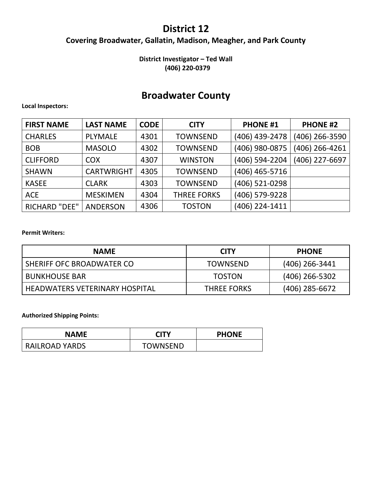# **District 12**

# **Covering Broadwater, Gallatin, Madison, Meagher, and Park County**

## **District Investigator – Ted Wall (406) 220-0379**

# **Broadwater County**

### **Local Inspectors:**

| <b>FIRST NAME</b>    | <b>LAST NAME</b>  | <b>CODE</b> | <b>CITY</b>        | <b>PHONE #1</b> | <b>PHONE #2</b> |
|----------------------|-------------------|-------------|--------------------|-----------------|-----------------|
| <b>CHARLES</b>       | <b>PLYMALE</b>    | 4301        | <b>TOWNSEND</b>    | (406) 439-2478  | (406) 266-3590  |
| <b>BOB</b>           | <b>MASOLO</b>     | 4302        | <b>TOWNSEND</b>    | (406) 980-0875  | (406) 266-4261  |
| <b>CLIFFORD</b>      | <b>COX</b>        | 4307        | <b>WINSTON</b>     | (406) 594-2204  | (406) 227-6697  |
| <b>SHAWN</b>         | <b>CARTWRIGHT</b> | 4305        | <b>TOWNSEND</b>    | (406) 465-5716  |                 |
| <b>KASEE</b>         | <b>CLARK</b>      | 4303        | <b>TOWNSEND</b>    | (406) 521-0298  |                 |
| <b>ACE</b>           | <b>MESKIMEN</b>   | 4304        | <b>THREE FORKS</b> | (406) 579-9228  |                 |
| <b>RICHARD "DEE"</b> | <b>ANDERSON</b>   | 4306        | <b>TOSTON</b>      | (406) 224-1411  |                 |

### **Permit Writers:**

| <b>NAME</b>                           | <b>CITY</b>        | <b>PHONE</b>     |
|---------------------------------------|--------------------|------------------|
| SHERIFF OFC BROADWATER CO             | <b>TOWNSEND</b>    | $(406)$ 266-3441 |
| <b>BUNKHOUSE BAR</b>                  | <b>TOSTON</b>      | $(406)$ 266-5302 |
| <b>HEADWATERS VETERINARY HOSPITAL</b> | <b>THREE FORKS</b> | $(406)$ 285-6672 |

| NAME                  | <b>CITY</b>     | <b>PHONE</b> |
|-----------------------|-----------------|--------------|
| <b>RAILROAD YARDS</b> | <b>TOWNSEND</b> |              |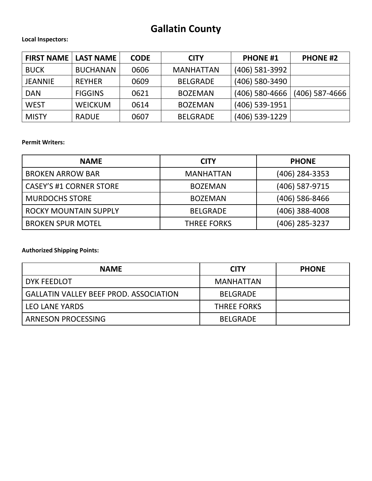# **Gallatin County**

**Local Inspectors:**

| <b>FIRST NAME</b> | <b>LAST NAME</b> | <b>CODE</b> | <b>CITY</b>      | <b>PHONE #1</b>  | <b>PHONE #2</b>  |
|-------------------|------------------|-------------|------------------|------------------|------------------|
| <b>BUCK</b>       | <b>BUCHANAN</b>  | 0606        | <b>MANHATTAN</b> | (406) 581-3992   |                  |
| <b>JEANNIE</b>    | <b>REYHER</b>    | 0609        | <b>BELGRADE</b>  | (406) 580-3490   |                  |
| <b>DAN</b>        | <b>FIGGINS</b>   | 0621        | <b>BOZEMAN</b>   | $(406)$ 580-4666 | $(406)$ 587-4666 |
| <b>WEST</b>       | <b>WEICKUM</b>   | 0614        | <b>BOZEMAN</b>   | (406) 539-1951   |                  |
| <b>MISTY</b>      | <b>RADUE</b>     | 0607        | <b>BELGRADE</b>  | (406) 539-1229   |                  |

**Permit Writers:**

| <b>NAME</b>                    | <b>CITY</b>        | <b>PHONE</b>     |
|--------------------------------|--------------------|------------------|
| <b>BROKEN ARROW BAR</b>        | <b>MANHATTAN</b>   | $(406)$ 284-3353 |
| <b>CASEY'S #1 CORNER STORE</b> | <b>BOZEMAN</b>     | (406) 587-9715   |
| <b>MURDOCHS STORE</b>          | <b>BOZEMAN</b>     | $(406)$ 586-8466 |
| <b>ROCKY MOUNTAIN SUPPLY</b>   | <b>BELGRADE</b>    | $(406)$ 388-4008 |
| <b>BROKEN SPUR MOTEL</b>       | <b>THREE FORKS</b> | (406) 285-3237   |

| <b>NAME</b>                                   | <b>CITY</b>        | <b>PHONE</b> |
|-----------------------------------------------|--------------------|--------------|
| DYK FEEDLOT                                   | <b>MANHATTAN</b>   |              |
| <b>GALLATIN VALLEY BEEF PROD. ASSOCIATION</b> | <b>BELGRADE</b>    |              |
| <b>LEO LANE YARDS</b>                         | <b>THREE FORKS</b> |              |
| ARNESON PROCESSING                            | <b>BELGRADE</b>    |              |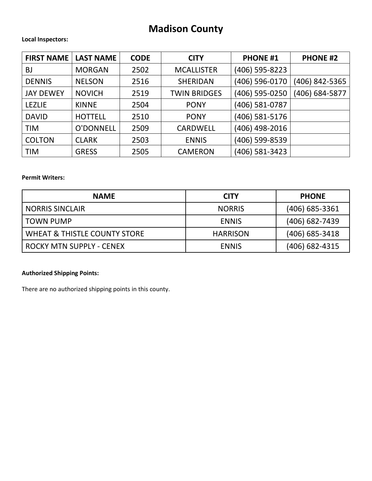# **Madison County**

#### **Local Inspectors:**

| <b>FIRST NAME</b> | <b>LAST NAME</b> | <b>CODE</b> | <b>CITY</b>         | <b>PHONE #1</b> | <b>PHONE #2</b> |
|-------------------|------------------|-------------|---------------------|-----------------|-----------------|
| <b>BJ</b>         | <b>MORGAN</b>    | 2502        | <b>MCALLISTER</b>   | (406) 595-8223  |                 |
| <b>DENNIS</b>     | <b>NELSON</b>    | 2516        | <b>SHERIDAN</b>     | (406) 596-0170  | (406) 842-5365  |
| <b>JAY DEWEY</b>  | <b>NOVICH</b>    | 2519        | <b>TWIN BRIDGES</b> | (406) 595-0250  | (406) 684-5877  |
| <b>LEZLIE</b>     | <b>KINNE</b>     | 2504        | <b>PONY</b>         | (406) 581-0787  |                 |
| <b>DAVID</b>      | <b>HOTTELL</b>   | 2510        | <b>PONY</b>         | (406) 581-5176  |                 |
| <b>TIM</b>        | O'DONNELL        | 2509        | <b>CARDWELL</b>     | (406) 498-2016  |                 |
| <b>COLTON</b>     | <b>CLARK</b>     | 2503        | <b>ENNIS</b>        | (406) 599-8539  |                 |
| <b>TIM</b>        | <b>GRESS</b>     | 2505        | <b>CAMERON</b>      | (406) 581-3423  |                 |

### **Permit Writers:**

| <b>NAME</b>                             | <b>CITY</b>     | <b>PHONE</b>     |
|-----------------------------------------|-----------------|------------------|
| <b>NORRIS SINCLAIR</b>                  | <b>NORRIS</b>   | (406) 685-3361   |
| I TOWN PUMP                             | <b>ENNIS</b>    | $(406)$ 682-7439 |
| <b>WHEAT &amp; THISTLE COUNTY STORE</b> | <b>HARRISON</b> | (406) 685-3418   |
| ROCKY MTN SUPPLY - CENEX                | <b>ENNIS</b>    | (406) 682-4315   |

## **Authorized Shipping Points:**

There are no authorized shipping points in this county.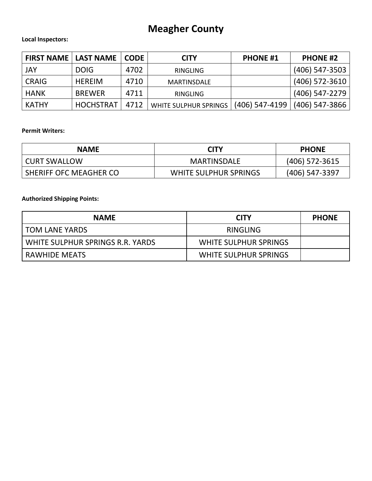# **Meagher County**

### **Local Inspectors:**

| <b>FIRST NAME   LAST NAME</b> |                  | <b>CODE</b> | <b>CITY</b>           | <b>PHONE #1</b> | <b>PHONE #2</b>  |
|-------------------------------|------------------|-------------|-----------------------|-----------------|------------------|
| <b>JAY</b>                    | <b>DOIG</b>      | 4702        | RINGLING              |                 | (406) 547-3503   |
| <b>CRAIG</b>                  | <b>HEREIM</b>    | 4710        | <b>MARTINSDALE</b>    |                 | $(406)$ 572-3610 |
| <b>HANK</b>                   | <b>BREWER</b>    | 4711        | <b>RINGLING</b>       |                 | (406) 547-2279   |
| <b>KATHY</b>                  | <b>HOCHSTRAT</b> | 4712        | WHITE SULPHUR SPRINGS | (406) 547-4199  | $(406)$ 547-3866 |

### **Permit Writers:**

| <b>NAME</b>            | <b>CITY</b>                  | <b>PHONE</b>     |
|------------------------|------------------------------|------------------|
| <b>CURT SWALLOW</b>    | MARTINSDALE                  | $(406)$ 572-3615 |
| SHERIFF OFC MEAGHER CO | <b>WHITE SULPHUR SPRINGS</b> | (406) 547-3397   |

| <b>NAME</b>                      | <b>CITY</b>                  | <b>PHONE</b> |
|----------------------------------|------------------------------|--------------|
| I TOM LANE YARDS                 | RINGLING                     |              |
| WHITE SULPHUR SPRINGS R.R. YARDS | WHITE SULPHUR SPRINGS        |              |
| l RAWHIDE MEATS                  | <b>WHITE SULPHUR SPRINGS</b> |              |